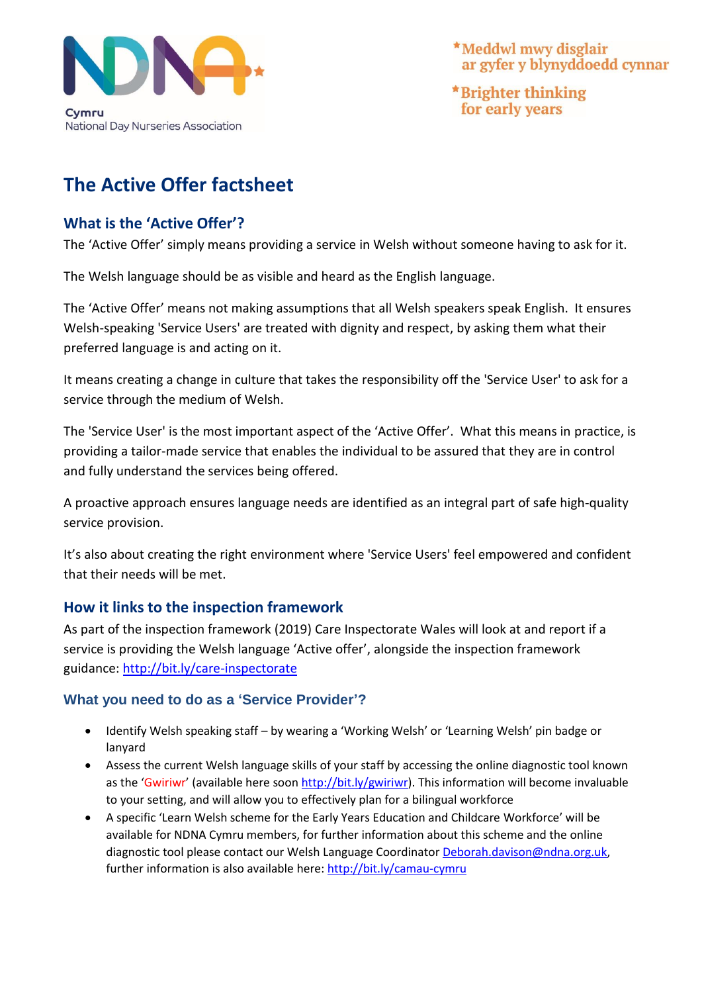

\*Meddwl mwy disglair ar gyfer y blynyddoedd cynnar

\*Brighter thinking for early years

# **The Active Offer factsheet**

### **What is the 'Active Offer'?**

The 'Active Offer' simply means providing a service in Welsh without someone having to ask for it.

The Welsh language should be as visible and heard as the English language.

The 'Active Offer' means not making assumptions that all Welsh speakers speak English. It ensures Welsh-speaking 'Service Users' are treated with dignity and respect, by asking them what their preferred language is and acting on it.

It means creating a change in culture that takes the responsibility off the 'Service User' to ask for a service through the medium of Welsh.

The 'Service User' is the most important aspect of the 'Active Offer'. What this means in practice, is providing a tailor-made service that enables the individual to be assured that they are in control and fully understand the services being offered.

A proactive approach ensures language needs are identified as an integral part of safe high-quality service provision.

It's also about creating the right environment where 'Service Users' feel empowered and confident that their needs will be met.

## **How it links to the inspection framework**

As part of the inspection framework (2019) Care Inspectorate Wales will look at and report if a service is providing the Welsh language 'Active offer', alongside the inspection framework guidance: <http://bit.ly/care-inspectorate>

#### **What you need to do as a 'Service Provider'?**

- Identify Welsh speaking staff by wearing a 'Working Welsh' or 'Learning Welsh' pin badge or lanyard
- Assess the current Welsh language skills of your staff by accessing the online diagnostic tool known as the 'Gwiriwr' (available here soon [http://bit.ly/gwiriwr\)](http://bit.ly/gwiriwr). This information will become invaluable to your setting, and will allow you to effectively plan for a bilingual workforce
- A specific 'Learn Welsh scheme for the Early Years Education and Childcare Workforce' will be available for NDNA Cymru members, for further information about this scheme and the online diagnostic tool please contact our Welsh Language Coordinato[r Deborah.davison@ndna.org.uk,](mailto:Deborah.davison@ndna.org.uk) further information is also available here: <http://bit.ly/camau-cymru>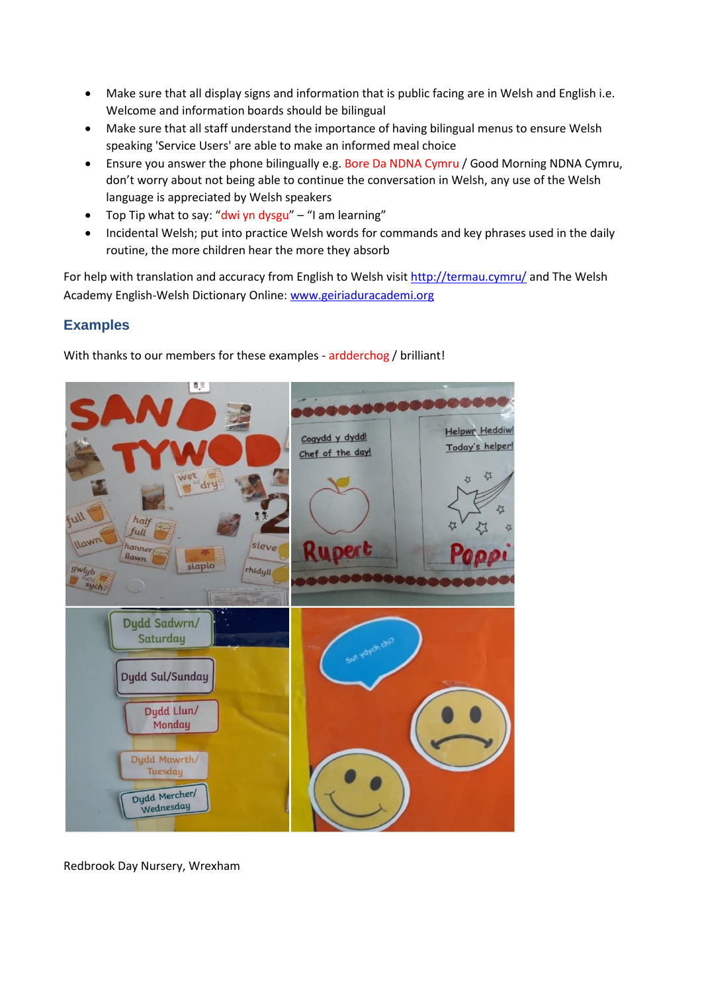- Make sure that all display signs and information that is public facing are in Welsh and English i.e. Welcome and information boards should be bilingual
- Make sure that all staff understand the importance of having bilingual menus to ensure Welsh speaking 'Service Users' are able to make an informed meal choice
- Ensure you answer the phone bilingually e.g. Bore Da NDNA Cymru / Good Morning NDNA Cymru, don't worry about not being able to continue the conversation in Welsh, any use of the Welsh language is appreciated by Welsh speakers
- Top Tip what to say: "dwi yn dysgu" "I am learning"
- Incidental Welsh; put into practice Welsh words for commands and key phrases used in the daily routine, the more children hear the more they absorb

For help with translation and accuracy from English to Welsh visit<http://termau.cymru/> and The Welsh Academy English-Welsh Dictionary Online: [www.geiriaduracademi.org](http://www.geiriaduracademi.org/)

#### **Examples**

With thanks to our members for these examples - ardderchog / brilliant!



Redbrook Day Nursery, Wrexham